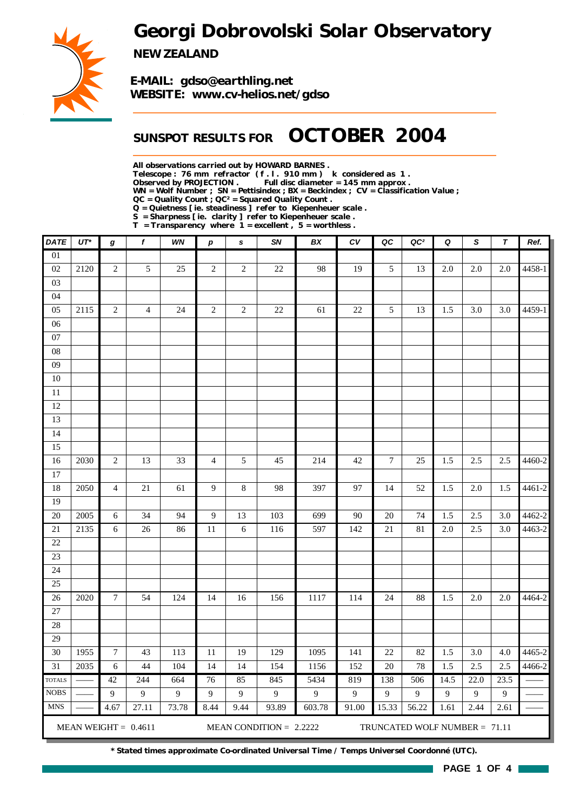*Georgi Dobrovolski Solar Observatory*



*NEW ZEALAND*

*E-MAIL: gdso@earthling.net WEBSITE: www.cv-helios.net/gdso*

## *SUNSPOT RESULTS FOR OCTOBER 2004*

*All observations carried out by HOWARD BARNES .*

*Telescope : 76 mm refractor ( f . l . 910 mm ) k considered as 1 .*

*Observed by PROJECTION . Full disc diameter = 145 mm approx .*

*WN = Wolf Number ; SN = Pettisindex ; BX = Beckindex ; CV = Classification Value ;*

*QC = Quality Count ; QC² = Squared Quality Count .*

*Q = Quietness [ ie. steadiness ] refer to Kiepenheuer scale .*

*S = Sharpness [ ie. clarity ] refer to Kiepenheuer scale . T = Transparency where 1 = excellent , 5 = worthless .*

| <b>DATE</b>                                                                          | $UT^*$ | g                | f              | WN    | $\boldsymbol{p}$ | s              | SN               | BX           | c <sub>V</sub> | QC               | QC <sup>2</sup> | Q    | S                | $\tau$  | Ref.   |
|--------------------------------------------------------------------------------------|--------|------------------|----------------|-------|------------------|----------------|------------------|--------------|----------------|------------------|-----------------|------|------------------|---------|--------|
| $\overline{01}$                                                                      |        |                  |                |       |                  |                |                  |              |                |                  |                 |      |                  |         |        |
| 02                                                                                   | 2120   | $\sqrt{2}$       | 5              | 25    | $\overline{2}$   | $\overline{c}$ | $22\,$           | 98           | 19             | 5                | 13              | 2.0  | 2.0              | 2.0     | 4458-1 |
| 03                                                                                   |        |                  |                |       |                  |                |                  |              |                |                  |                 |      |                  |         |        |
| 04                                                                                   |        |                  |                |       |                  |                |                  |              |                |                  |                 |      |                  |         |        |
| 05                                                                                   | 2115   | $\sqrt{2}$       | $\overline{4}$ | 24    | $\overline{c}$   | $\overline{2}$ | 22               | 61           | 22             | 5                | 13              | 1.5  | 3.0              | 3.0     | 4459-1 |
| 06                                                                                   |        |                  |                |       |                  |                |                  |              |                |                  |                 |      |                  |         |        |
| $07\,$                                                                               |        |                  |                |       |                  |                |                  |              |                |                  |                 |      |                  |         |        |
| ${\bf 08}$                                                                           |        |                  |                |       |                  |                |                  |              |                |                  |                 |      |                  |         |        |
| $09\,$                                                                               |        |                  |                |       |                  |                |                  |              |                |                  |                 |      |                  |         |        |
| $10\,$                                                                               |        |                  |                |       |                  |                |                  |              |                |                  |                 |      |                  |         |        |
| $11\,$                                                                               |        |                  |                |       |                  |                |                  |              |                |                  |                 |      |                  |         |        |
| $12\,$                                                                               |        |                  |                |       |                  |                |                  |              |                |                  |                 |      |                  |         |        |
| 13                                                                                   |        |                  |                |       |                  |                |                  |              |                |                  |                 |      |                  |         |        |
| 14                                                                                   |        |                  |                |       |                  |                |                  |              |                |                  |                 |      |                  |         |        |
| 15                                                                                   |        |                  |                |       |                  |                |                  |              |                |                  |                 |      |                  |         |        |
| 16                                                                                   | 2030   | $\mathbf{2}$     | 13             | 33    | $\overline{4}$   | 5              | 45               | 214          | 42             | $\boldsymbol{7}$ | 25              | 1.5  | 2.5              | 2.5     | 4460-2 |
| 17                                                                                   |        |                  |                |       |                  |                |                  |              |                |                  |                 |      |                  |         |        |
| 18                                                                                   | 2050   | $\overline{4}$   | $21\,$         | 61    | 9                | $\,8\,$        | 98               | 397          | 97             | 14               | 52              | 1.5  | 2.0              | 1.5     | 4461-2 |
| 19                                                                                   |        |                  |                |       |                  |                |                  |              |                |                  |                 |      |                  |         |        |
| 20                                                                                   | 2005   | $\sqrt{6}$       | 34             | 94    | 9                | 13             | 103              | 699          | 90             | 20               | 74              | 1.5  | 2.5              | 3.0     | 4462-2 |
| 21                                                                                   | 2135   | $\sqrt{6}$       | 26             | 86    | $11\,$           | $\sqrt{6}$     | 116              | 597          | 142            | $21\,$           | 81              | 2.0  | 2.5              | 3.0     | 4463-2 |
| 22                                                                                   |        |                  |                |       |                  |                |                  |              |                |                  |                 |      |                  |         |        |
| 23                                                                                   |        |                  |                |       |                  |                |                  |              |                |                  |                 |      |                  |         |        |
| 24                                                                                   |        |                  |                |       |                  |                |                  |              |                |                  |                 |      |                  |         |        |
| 25                                                                                   |        |                  |                |       |                  |                |                  |              |                |                  |                 |      |                  |         |        |
| 26                                                                                   | 2020   | $\boldsymbol{7}$ | 54             | 124   | 14               | 16             | 156              | 1117         | 114            | 24               | 88              | 1.5  | 2.0              | $2.0\,$ | 4464-2 |
| 27                                                                                   |        |                  |                |       |                  |                |                  |              |                |                  |                 |      |                  |         |        |
| 28                                                                                   |        |                  |                |       |                  |                |                  |              |                |                  |                 |      |                  |         |        |
| 29                                                                                   |        |                  |                |       |                  |                |                  |              |                |                  |                 |      |                  |         |        |
| 30                                                                                   | 1955   | $\boldsymbol{7}$ | 43             | 113   | 11               | 19             | 129              | 1095         | 141            | 22               | 82              | 1.5  | 3.0              | 4.0     | 4465-2 |
| 31                                                                                   | 2035   | 6                | 44             | 104   | 14               | 14             | 154              | 1156         | 152            | 20               | 78              | 1.5  | $\overline{2.5}$ | 2.5     | 4466-2 |
| <b>TOTALS</b>                                                                        |        | 42               | 244            | 664   | 76               | 85             | 845              | 5434         | 819            | 138              | 506             | 14.5 | 22.0             | 23.5    |        |
| $\rm{NOBS}$                                                                          |        | 9                | $\overline{9}$ | 9     | $\overline{9}$   | 9              | $\boldsymbol{9}$ | $\mathbf{9}$ | $\mathbf{9}$   | 9                | 9               | 9    | 9                | 9       |        |
| <b>MNS</b>                                                                           |        | 4.67             | 27.11          | 73.78 | 8.44             | 9.44           | 93.89            | 603.78       | 91.00          | 15.33            | 56.22           | 1.61 | 2.44             | 2.61    |        |
| MEAN WEIGHT = $0.4611$<br>MEAN CONDITION = $2.2222$<br>TRUNCATED WOLF NUMBER = 71.11 |        |                  |                |       |                  |                |                  |              |                |                  |                 |      |                  |         |        |

*\* Stated times approximate Co-ordinated Universal Time / Temps Universel Coordonné (UTC).*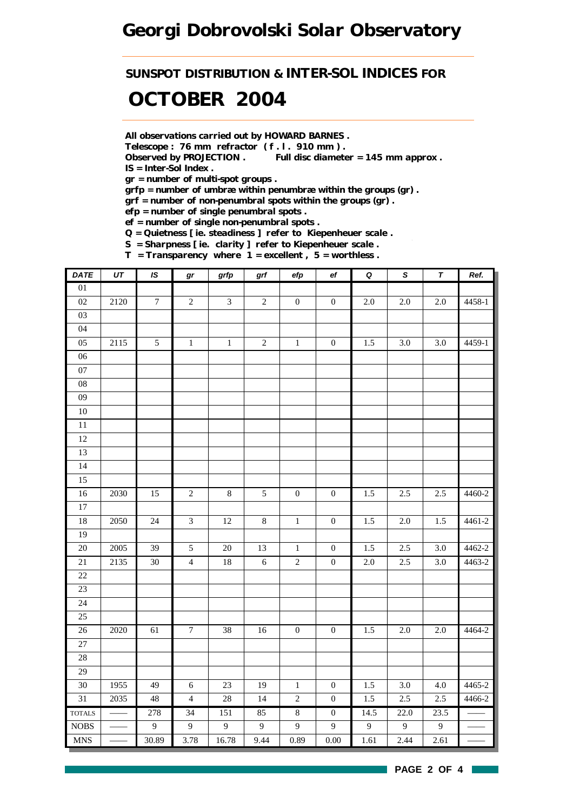*SUNSPOT DISTRIBUTION & INTER-SOL INDICES FOR*

# *OCTOBER 2004*

*All observations carried out by HOWARD BARNES .*

*Telescope : 76 mm refractor ( f . l . 910 mm ) .*

*Observed by PROJECTION . Full disc diameter = 145 mm approx . IS = Inter-Sol Index .*

*gr = number of multi-spot groups .*

*grfp = number of umbræ within penumbræ within the groups (gr) .*

*grf = number of non-penumbral spots within the groups (gr) .*

*efp = number of single penumbral spots .*

*ef = number of single non-penumbral spots .*

*Q = Quietness [ ie. steadiness ] refer to Kiepenheuer scale .*

*S = Sharpness [ ie. clarity ] refer to Kiepenheuer scale . T = Transparency where 1 = excellent , 5 = worthless .*

| <b>DATE</b>                 | $\overline{UT}$ | IS               | $\bm{gr}$        | grfp           | $\operatorname{\textsf{grf}}$ | efp              | $_{\rm ef}$      | $\pmb Q$       | $\overline{s}$ | $\overline{\tau}$ | Ref.   |
|-----------------------------|-----------------|------------------|------------------|----------------|-------------------------------|------------------|------------------|----------------|----------------|-------------------|--------|
| $\overline{01}$             |                 |                  |                  |                |                               |                  |                  |                |                |                   |        |
| $02\,$                      | 2120            | $\tau$           | $\overline{2}$   | $\mathfrak{Z}$ | $\overline{2}$                | $\boldsymbol{0}$ | $\boldsymbol{0}$ | $2.0\,$        | 2.0            | $2.0\,$           | 4458-1 |
| $03\,$                      |                 |                  |                  |                |                               |                  |                  |                |                |                   |        |
| 04                          |                 |                  |                  |                |                               |                  |                  |                |                |                   |        |
| 05                          | 2115            | $\sqrt{5}$       | $\,1\,$          | $\,1\,$        | $\sqrt{2}$                    | $\,1$            | $\boldsymbol{0}$ | 1.5            | 3.0            | 3.0               | 4459-1 |
| $06\,$                      |                 |                  |                  |                |                               |                  |                  |                |                |                   |        |
| $07\,$                      |                 |                  |                  |                |                               |                  |                  |                |                |                   |        |
| ${\bf 08}$                  |                 |                  |                  |                |                               |                  |                  |                |                |                   |        |
| $09\,$                      |                 |                  |                  |                |                               |                  |                  |                |                |                   |        |
| $10\,$                      |                 |                  |                  |                |                               |                  |                  |                |                |                   |        |
| $11\,$                      |                 |                  |                  |                |                               |                  |                  |                |                |                   |        |
| 12                          |                 |                  |                  |                |                               |                  |                  |                |                |                   |        |
| 13                          |                 |                  |                  |                |                               |                  |                  |                |                |                   |        |
| 14                          |                 |                  |                  |                |                               |                  |                  |                |                |                   |        |
| 15                          |                 |                  |                  |                |                               |                  |                  |                |                |                   |        |
| $16\,$                      | 2030            | 15               | $\overline{c}$   | $\,8\,$        | 5                             | $\boldsymbol{0}$ | $\boldsymbol{0}$ | 1.5            | 2.5            | 2.5               | 4460-2 |
| $\overline{17}$             |                 |                  |                  |                |                               |                  |                  |                |                |                   |        |
| 18                          | 2050            | 24               | $\mathfrak{Z}$   | $12\,$         | $\,8\,$                       | $\,1\,$          | $\boldsymbol{0}$ | 1.5            | $2.0\,$        | 1.5               | 4461-2 |
| 19                          |                 |                  |                  |                |                               |                  |                  |                |                |                   |        |
| 20                          | 2005            | 39               | $\sqrt{5}$       | $20\,$         | 13                            | $\mathbf 1$      | $\boldsymbol{0}$ | 1.5            | $2.5\,$        | 3.0               | 4462-2 |
| $21\,$                      | 2135            | $30\,$           | $\overline{4}$   | $18\,$         | $\sqrt{6}$                    | $\sqrt{2}$       | $\boldsymbol{0}$ | $2.0\,$        | $2.5\,$        | $3.0\,$           | 4463-2 |
| $22\,$                      |                 |                  |                  |                |                               |                  |                  |                |                |                   |        |
| $23\,$                      |                 |                  |                  |                |                               |                  |                  |                |                |                   |        |
| $24\,$                      |                 |                  |                  |                |                               |                  |                  |                |                |                   |        |
| 25                          |                 |                  |                  |                |                               |                  |                  |                |                |                   |        |
| $26\,$                      | 2020            | 61               | $\boldsymbol{7}$ | $38\,$         | $16\,$                        | $\boldsymbol{0}$ | $\boldsymbol{0}$ | 1.5            | 2.0            | $2.0\,$           | 4464-2 |
| $27\,$                      |                 |                  |                  |                |                               |                  |                  |                |                |                   |        |
| 28                          |                 |                  |                  |                |                               |                  |                  |                |                |                   |        |
| $\overline{29}$             |                 |                  |                  |                |                               |                  |                  |                |                |                   |        |
| $30\,$                      | 1955            | 49               | $\sqrt{6}$       | $23\,$         | 19                            | $\mathbf{1}$     | $\boldsymbol{0}$ | 1.5            | 3.0            | 4.0               | 4465-2 |
| 31                          | 2035            | $\sqrt{48}$      | $\overline{4}$   | $28\,$         | 14                            | $\sqrt{2}$       | $\boldsymbol{0}$ | $1.5\,$        | $2.5\,$        | $2.5\,$           | 4466-2 |
| <b>TOTALS</b>               |                 | 278              | 34               | 151            | 85                            | $\sqrt{8}$       | $\overline{0}$   | 14.5           | 22.0           | 23.5              |        |
| $\rm{NOBS}$                 |                 | $\boldsymbol{9}$ | 9                | $\overline{9}$ | $\overline{9}$                | $\boldsymbol{9}$ | 9                | $\overline{9}$ | $\overline{9}$ | $\overline{9}$    |        |
| $\ensuremath{\mathsf{MNS}}$ |                 | 30.89            | 3.78             | 16.78          | 9.44                          | 0.89             | $0.00\,$         | 1.61           | 2.44           | 2.61              |        |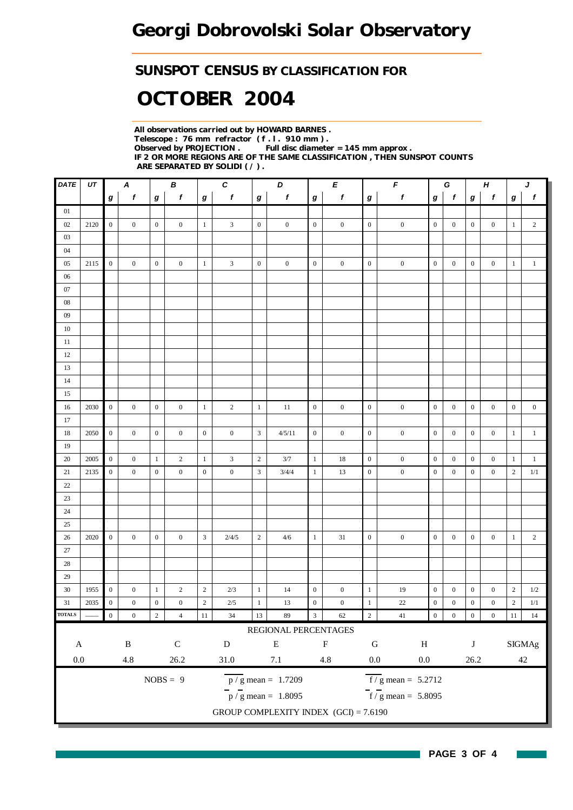### *SUNSPOT CENSUS BY CLASSIFICATION FOR*

# *OCTOBER 2004*

*All observations carried out by HOWARD BARNES . Telescope : 76 mm refractor ( f . l . 910 mm ) . Observed by PROJECTION . Full disc diameter = 145 mm approx . IF 2 OR MORE REGIONS ARE OF THE SAME CLASSIFICATION , THEN SUNSPOT COUNTS ARE SEPARATED BY SOLIDI ( / ) .*

| $\pmb{f}$<br>$\pmb{f}$<br>$\mathbf{f}$<br>$\boldsymbol{f}$<br>$\pmb{f}$<br>$\boldsymbol{f}$<br>$\pmb{f}$<br>$\boldsymbol{f}$<br>$\boldsymbol{g}$<br>$\bm{g}$<br>$\bm{g}$<br>$\pmb{g}$<br>$\boldsymbol{g}$<br>$\bm{g}$<br>$\bm{g}$<br>$\bm{g}$<br>$01\,$<br>$02\,$<br>2120<br>$\mathbf{0}$<br>$\mathbf{0}$<br>$\boldsymbol{0}$<br>$\mathbf{0}$<br>$\mathbf{1}$<br>3<br>$\boldsymbol{0}$<br>$\boldsymbol{0}$<br>$\boldsymbol{0}$<br>$\boldsymbol{0}$<br>$\boldsymbol{0}$<br>$\boldsymbol{0}$<br>$\boldsymbol{0}$<br>$\boldsymbol{0}$<br>$\mathbf{0}$<br>$\boldsymbol{0}$<br>03<br>04<br>$\mathbf{0}$<br>$\mathbf{1}$<br>$\mathbf{3}$<br>$\boldsymbol{0}$<br>$05\,$<br>2115<br>$\mathbf{0}$<br>$\mathbf{0}$<br>$\mathbf{0}$<br>$\mathbf{0}$<br>$\mathbf{0}$<br>$\mathbf{0}$<br>$\boldsymbol{0}$<br>$\mathbf{0}$<br>$\boldsymbol{0}$<br>$\boldsymbol{0}$<br>$\boldsymbol{0}$<br>$\mathbf{0}$<br>$06\,$<br>$07\,$<br>${\bf 08}$ | $\mathbf{f}$<br>$\bm{g}$<br>$\overline{c}$<br>$\mathbf{1}$<br>$\mathbf{1}$<br>$\mathbf{1}$ |  |  |  |  |  |  |  |  |  |  |  |
|----------------------------------------------------------------------------------------------------------------------------------------------------------------------------------------------------------------------------------------------------------------------------------------------------------------------------------------------------------------------------------------------------------------------------------------------------------------------------------------------------------------------------------------------------------------------------------------------------------------------------------------------------------------------------------------------------------------------------------------------------------------------------------------------------------------------------------------------------------------------------------------------------------------------------|--------------------------------------------------------------------------------------------|--|--|--|--|--|--|--|--|--|--|--|
|                                                                                                                                                                                                                                                                                                                                                                                                                                                                                                                                                                                                                                                                                                                                                                                                                                                                                                                            |                                                                                            |  |  |  |  |  |  |  |  |  |  |  |
|                                                                                                                                                                                                                                                                                                                                                                                                                                                                                                                                                                                                                                                                                                                                                                                                                                                                                                                            |                                                                                            |  |  |  |  |  |  |  |  |  |  |  |
|                                                                                                                                                                                                                                                                                                                                                                                                                                                                                                                                                                                                                                                                                                                                                                                                                                                                                                                            |                                                                                            |  |  |  |  |  |  |  |  |  |  |  |
|                                                                                                                                                                                                                                                                                                                                                                                                                                                                                                                                                                                                                                                                                                                                                                                                                                                                                                                            |                                                                                            |  |  |  |  |  |  |  |  |  |  |  |
|                                                                                                                                                                                                                                                                                                                                                                                                                                                                                                                                                                                                                                                                                                                                                                                                                                                                                                                            |                                                                                            |  |  |  |  |  |  |  |  |  |  |  |
|                                                                                                                                                                                                                                                                                                                                                                                                                                                                                                                                                                                                                                                                                                                                                                                                                                                                                                                            |                                                                                            |  |  |  |  |  |  |  |  |  |  |  |
|                                                                                                                                                                                                                                                                                                                                                                                                                                                                                                                                                                                                                                                                                                                                                                                                                                                                                                                            |                                                                                            |  |  |  |  |  |  |  |  |  |  |  |
|                                                                                                                                                                                                                                                                                                                                                                                                                                                                                                                                                                                                                                                                                                                                                                                                                                                                                                                            |                                                                                            |  |  |  |  |  |  |  |  |  |  |  |
|                                                                                                                                                                                                                                                                                                                                                                                                                                                                                                                                                                                                                                                                                                                                                                                                                                                                                                                            |                                                                                            |  |  |  |  |  |  |  |  |  |  |  |
| 09                                                                                                                                                                                                                                                                                                                                                                                                                                                                                                                                                                                                                                                                                                                                                                                                                                                                                                                         |                                                                                            |  |  |  |  |  |  |  |  |  |  |  |
| $10\,$                                                                                                                                                                                                                                                                                                                                                                                                                                                                                                                                                                                                                                                                                                                                                                                                                                                                                                                     |                                                                                            |  |  |  |  |  |  |  |  |  |  |  |
| 11                                                                                                                                                                                                                                                                                                                                                                                                                                                                                                                                                                                                                                                                                                                                                                                                                                                                                                                         |                                                                                            |  |  |  |  |  |  |  |  |  |  |  |
| $12\,$                                                                                                                                                                                                                                                                                                                                                                                                                                                                                                                                                                                                                                                                                                                                                                                                                                                                                                                     |                                                                                            |  |  |  |  |  |  |  |  |  |  |  |
| 13                                                                                                                                                                                                                                                                                                                                                                                                                                                                                                                                                                                                                                                                                                                                                                                                                                                                                                                         |                                                                                            |  |  |  |  |  |  |  |  |  |  |  |
| $14\,$                                                                                                                                                                                                                                                                                                                                                                                                                                                                                                                                                                                                                                                                                                                                                                                                                                                                                                                     |                                                                                            |  |  |  |  |  |  |  |  |  |  |  |
| 15                                                                                                                                                                                                                                                                                                                                                                                                                                                                                                                                                                                                                                                                                                                                                                                                                                                                                                                         |                                                                                            |  |  |  |  |  |  |  |  |  |  |  |
| $\mathbf{0}$<br>$\,1\,$<br>$\sqrt{2}$<br>$\mathbf{0}$<br>$\boldsymbol{0}$<br>$\boldsymbol{0}$<br>$\boldsymbol{0}$<br>$\overline{0}$<br>2030<br>$\boldsymbol{0}$<br>$\boldsymbol{0}$<br>$\mathbf{0}$<br>$\mathbf{1}$<br>11<br>$\boldsymbol{0}$<br>$\boldsymbol{0}$<br>$\boldsymbol{0}$<br>16                                                                                                                                                                                                                                                                                                                                                                                                                                                                                                                                                                                                                                | $\boldsymbol{0}$<br>$\boldsymbol{0}$                                                       |  |  |  |  |  |  |  |  |  |  |  |
| 17                                                                                                                                                                                                                                                                                                                                                                                                                                                                                                                                                                                                                                                                                                                                                                                                                                                                                                                         |                                                                                            |  |  |  |  |  |  |  |  |  |  |  |
| $\boldsymbol{0}$<br>$\,0\,$<br>$\mathfrak{Z}$<br>$\boldsymbol{0}$<br>18<br>$\overline{0}$<br>$\boldsymbol{0}$<br>$\mathbf{0}$<br>$\overline{0}$<br>$\mathbf{0}$<br>$\boldsymbol{0}$<br>$\mathbf{0}$<br>$\boldsymbol{0}$<br>$\overline{0}$<br>2050<br>4/5/11<br>$\boldsymbol{0}$<br>$\boldsymbol{0}$                                                                                                                                                                                                                                                                                                                                                                                                                                                                                                                                                                                                                        | $\mathbf{1}$<br>$\mathbf{1}$                                                               |  |  |  |  |  |  |  |  |  |  |  |
| 19                                                                                                                                                                                                                                                                                                                                                                                                                                                                                                                                                                                                                                                                                                                                                                                                                                                                                                                         |                                                                                            |  |  |  |  |  |  |  |  |  |  |  |
| $\boldsymbol{0}$<br>$\mathbf{1}$<br>$\mathbf{2}$<br>20<br>2005<br>$\mathbf{0}$<br>$\overline{c}$<br>3<br>3/7<br>$18\,$<br>$\boldsymbol{0}$<br>$\boldsymbol{0}$<br>$\overline{0}$<br>$\overline{0}$<br>$\boldsymbol{0}$<br>$\mathbf{1}$<br>$\mathbf{1}$<br>$\boldsymbol{0}$                                                                                                                                                                                                                                                                                                                                                                                                                                                                                                                                                                                                                                                 | $\mathbf{1}$<br>$\mathbf{1}$                                                               |  |  |  |  |  |  |  |  |  |  |  |
| $\boldsymbol{0}$<br>$\,0\,$<br>$\boldsymbol{0}$<br>$\mathbf{0}$<br>3<br>$\boldsymbol{0}$<br>21<br>2135<br>$\boldsymbol{0}$<br>$\mathbf{0}$<br>3/4/4<br>$\boldsymbol{0}$<br>$\boldsymbol{0}$<br>$\mathbf{0}$<br>$\boldsymbol{0}$<br>$\mathbf{1}$<br>13<br>$\boldsymbol{0}$                                                                                                                                                                                                                                                                                                                                                                                                                                                                                                                                                                                                                                                  | $\mathbf{2}$<br>1/1                                                                        |  |  |  |  |  |  |  |  |  |  |  |
| $22\,$                                                                                                                                                                                                                                                                                                                                                                                                                                                                                                                                                                                                                                                                                                                                                                                                                                                                                                                     |                                                                                            |  |  |  |  |  |  |  |  |  |  |  |
| 23                                                                                                                                                                                                                                                                                                                                                                                                                                                                                                                                                                                                                                                                                                                                                                                                                                                                                                                         |                                                                                            |  |  |  |  |  |  |  |  |  |  |  |
| $24\,$                                                                                                                                                                                                                                                                                                                                                                                                                                                                                                                                                                                                                                                                                                                                                                                                                                                                                                                     |                                                                                            |  |  |  |  |  |  |  |  |  |  |  |
| 25                                                                                                                                                                                                                                                                                                                                                                                                                                                                                                                                                                                                                                                                                                                                                                                                                                                                                                                         |                                                                                            |  |  |  |  |  |  |  |  |  |  |  |
| $\sqrt{3}$<br>26<br>2020<br>$\boldsymbol{0}$<br>$\overline{0}$<br>$\boldsymbol{0}$<br>$\boldsymbol{0}$<br>2/4/5<br>$\sqrt{2}$<br>$1\,$<br>31<br>$\boldsymbol{0}$<br>$\boldsymbol{0}$<br>$\boldsymbol{0}$<br>$\boldsymbol{0}$<br>$\boldsymbol{0}$<br>$\boldsymbol{0}$<br>4/6                                                                                                                                                                                                                                                                                                                                                                                                                                                                                                                                                                                                                                                | $\overline{c}$<br>$\mathbf{1}$                                                             |  |  |  |  |  |  |  |  |  |  |  |
| $27\,$                                                                                                                                                                                                                                                                                                                                                                                                                                                                                                                                                                                                                                                                                                                                                                                                                                                                                                                     |                                                                                            |  |  |  |  |  |  |  |  |  |  |  |
| $28\,$                                                                                                                                                                                                                                                                                                                                                                                                                                                                                                                                                                                                                                                                                                                                                                                                                                                                                                                     |                                                                                            |  |  |  |  |  |  |  |  |  |  |  |
| 29                                                                                                                                                                                                                                                                                                                                                                                                                                                                                                                                                                                                                                                                                                                                                                                                                                                                                                                         |                                                                                            |  |  |  |  |  |  |  |  |  |  |  |
| $\sqrt{2}$<br>30<br>1955<br>$\boldsymbol{0}$<br>$\boldsymbol{0}$<br>$\boldsymbol{0}$<br>19<br>$\boldsymbol{0}$<br>$\boldsymbol{0}$<br>$\mathbf{1}$<br>$\overline{c}$<br>2/3<br>$\mathbf{1}$<br>14<br>$\boldsymbol{0}$<br>$\boldsymbol{0}$<br>$\boldsymbol{0}$<br>$\mathbf{1}$                                                                                                                                                                                                                                                                                                                                                                                                                                                                                                                                                                                                                                              | $\sqrt{2}$<br>$1/2\,$                                                                      |  |  |  |  |  |  |  |  |  |  |  |
| $\sqrt{2}$<br>$\boldsymbol{0}$<br>$\boldsymbol{0}$<br>$\boldsymbol{0}$<br>$\boldsymbol{0}$<br>$\,1\,$<br>$22\,$<br>31<br>2035<br>$\boldsymbol{0}$<br>$\boldsymbol{0}$<br>$2/5$<br>$\mathbf{1}$<br>13<br>$\boldsymbol{0}$<br>$\boldsymbol{0}$<br>$\boldsymbol{0}$<br>$\boldsymbol{0}$                                                                                                                                                                                                                                                                                                                                                                                                                                                                                                                                                                                                                                       | $\sqrt{2}$<br>$1/1\,$                                                                      |  |  |  |  |  |  |  |  |  |  |  |
| <b>TOTALS</b><br>$\boldsymbol{0}$<br>$\overline{\mathbf{2}}$<br>$11\,$<br>13<br>$89$<br>$\overline{\mathbf{3}}$<br>62<br>$\overline{2}$<br>$\boldsymbol{0}$<br>$\overline{0}$<br>$\boldsymbol{0}$<br>$\boldsymbol{0}$<br>$\boldsymbol{0}$<br>34<br>$\overline{4}$<br>$41\,$                                                                                                                                                                                                                                                                                                                                                                                                                                                                                                                                                                                                                                                | $11\,$<br>$14\,$                                                                           |  |  |  |  |  |  |  |  |  |  |  |
| REGIONAL PERCENTAGES                                                                                                                                                                                                                                                                                                                                                                                                                                                                                                                                                                                                                                                                                                                                                                                                                                                                                                       |                                                                                            |  |  |  |  |  |  |  |  |  |  |  |
| $\, {\bf B}$<br>${\bf C}$<br>${\bf E}$<br>${\bf F}$<br>${\bf D}$<br>${\bf G}$<br>$\, {\rm H}$<br>$\mathbf A$<br>$\bf J$                                                                                                                                                                                                                                                                                                                                                                                                                                                                                                                                                                                                                                                                                                                                                                                                    | <b>SIGMAg</b>                                                                              |  |  |  |  |  |  |  |  |  |  |  |
| $0.0\,$<br>$4.8\,$<br>26.2<br>$0.0\,$<br>$0.0\,$<br>$31.0\,$<br>$7.1\,$<br>4.8<br>26.2                                                                                                                                                                                                                                                                                                                                                                                                                                                                                                                                                                                                                                                                                                                                                                                                                                     | $42\,$                                                                                     |  |  |  |  |  |  |  |  |  |  |  |
|                                                                                                                                                                                                                                                                                                                                                                                                                                                                                                                                                                                                                                                                                                                                                                                                                                                                                                                            |                                                                                            |  |  |  |  |  |  |  |  |  |  |  |
| $NOBS = 9$<br>$\overline{f/g}$ mean = 5.2712<br>$\overline{p}/g$ mean = 1.7209                                                                                                                                                                                                                                                                                                                                                                                                                                                                                                                                                                                                                                                                                                                                                                                                                                             |                                                                                            |  |  |  |  |  |  |  |  |  |  |  |
| $\frac{1}{f}$ / g mean = 5.8095<br>$\frac{1}{p}$ / g mean = 1.8095                                                                                                                                                                                                                                                                                                                                                                                                                                                                                                                                                                                                                                                                                                                                                                                                                                                         |                                                                                            |  |  |  |  |  |  |  |  |  |  |  |
| GROUP COMPLEXITY INDEX (GCI) = 7.6190                                                                                                                                                                                                                                                                                                                                                                                                                                                                                                                                                                                                                                                                                                                                                                                                                                                                                      |                                                                                            |  |  |  |  |  |  |  |  |  |  |  |